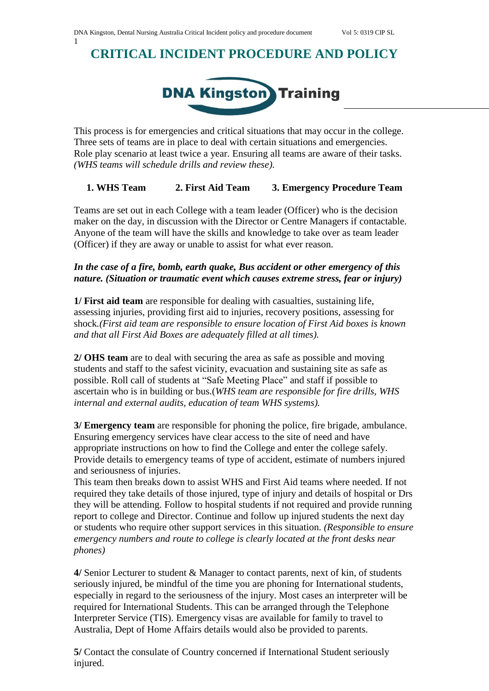# **CRITICAL INCIDENT PROCEDURE AND POLICY**



This process is for emergencies and critical situations that may occur in the college. Three sets of teams are in place to deal with certain situations and emergencies. Role play scenario at least twice a year. Ensuring all teams are aware of their tasks. *(WHS teams will schedule drills and review these).*

### **1. WHS Team 2. First Aid Team 3. Emergency Procedure Team**

Teams are set out in each College with a team leader (Officer) who is the decision maker on the day, in discussion with the Director or Centre Managers if contactable. Anyone of the team will have the skills and knowledge to take over as team leader (Officer) if they are away or unable to assist for what ever reason.

#### *In the case of a fire, bomb, earth quake, Bus accident or other emergency of this nature. (Situation or traumatic event which causes extreme stress, fear or injury)*

**1/ First aid team** are responsible for dealing with casualties, sustaining life, assessing injuries, providing first aid to injuries, recovery positions, assessing for shock*.(First aid team are responsible to ensure location of First Aid boxes is known and that all First Aid Boxes are adequately filled at all times).*

**2/ OHS team** are to deal with securing the area as safe as possible and moving students and staff to the safest vicinity, evacuation and sustaining site as safe as possible. Roll call of students at "Safe Meeting Place" and staff if possible to ascertain who is in building or bus.(*WHS team are responsible for fire drills, WHS internal and external audits, education of team WHS systems).*

**3/ Emergency team** are responsible for phoning the police, fire brigade, ambulance. Ensuring emergency services have clear access to the site of need and have appropriate instructions on how to find the College and enter the college safely. Provide details to emergency teams of type of accident, estimate of numbers injured and seriousness of injuries.

This team then breaks down to assist WHS and First Aid teams where needed. If not required they take details of those injured, type of injury and details of hospital or Drs they will be attending. Follow to hospital students if not required and provide running report to college and Director. Continue and follow up injured students the next day or students who require other support services in this situation. *(Responsible to ensure emergency numbers and route to college is clearly located at the front desks near phones)*

**4/** Senior Lecturer to student & Manager to contact parents, next of kin, of students seriously injured, be mindful of the time you are phoning for International students, especially in regard to the seriousness of the injury. Most cases an interpreter will be required for International Students. This can be arranged through the Telephone Interpreter Service (TIS). Emergency visas are available for family to travel to Australia, Dept of Home Affairs details would also be provided to parents.

**5/** Contact the consulate of Country concerned if International Student seriously injured.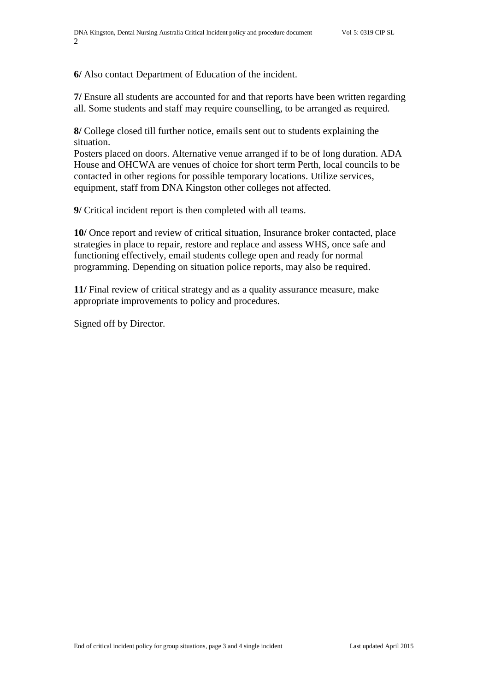**6/** Also contact Department of Education of the incident.

**7/** Ensure all students are accounted for and that reports have been written regarding all. Some students and staff may require counselling, to be arranged as required.

**8/** College closed till further notice, emails sent out to students explaining the situation.

Posters placed on doors. Alternative venue arranged if to be of long duration. ADA House and OHCWA are venues of choice for short term Perth, local councils to be contacted in other regions for possible temporary locations. Utilize services, equipment, staff from DNA Kingston other colleges not affected.

**9/** Critical incident report is then completed with all teams.

**10/** Once report and review of critical situation, Insurance broker contacted, place strategies in place to repair, restore and replace and assess WHS, once safe and functioning effectively, email students college open and ready for normal programming. Depending on situation police reports, may also be required.

**11/** Final review of critical strategy and as a quality assurance measure, make appropriate improvements to policy and procedures.

Signed off by Director.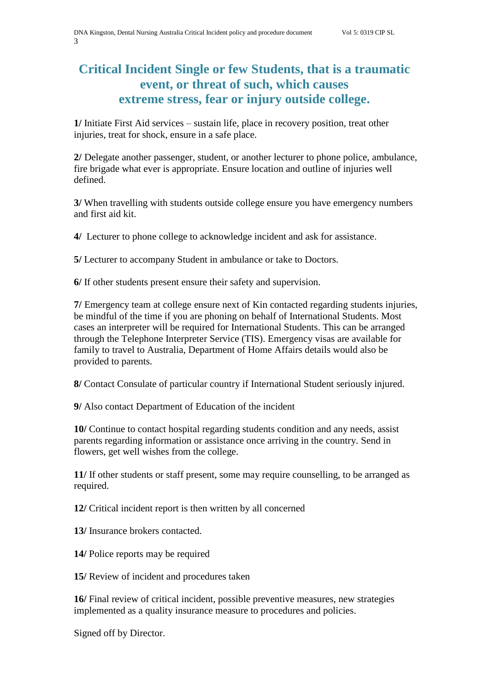## **Critical Incident Single or few Students, that is a traumatic event, or threat of such, which causes extreme stress, fear or injury outside college.**

**1/** Initiate First Aid services – sustain life, place in recovery position, treat other injuries, treat for shock, ensure in a safe place.

**2/** Delegate another passenger, student, or another lecturer to phone police, ambulance, fire brigade what ever is appropriate. Ensure location and outline of injuries well defined.

**3/** When travelling with students outside college ensure you have emergency numbers and first aid kit.

**4/** Lecturer to phone college to acknowledge incident and ask for assistance.

**5/** Lecturer to accompany Student in ambulance or take to Doctors.

**6/** If other students present ensure their safety and supervision.

**7/** Emergency team at college ensure next of Kin contacted regarding students injuries, be mindful of the time if you are phoning on behalf of International Students. Most cases an interpreter will be required for International Students. This can be arranged through the Telephone Interpreter Service (TIS). Emergency visas are available for family to travel to Australia, Department of Home Affairs details would also be provided to parents.

**8/** Contact Consulate of particular country if International Student seriously injured.

**9/** Also contact Department of Education of the incident

**10/** Continue to contact hospital regarding students condition and any needs, assist parents regarding information or assistance once arriving in the country. Send in flowers, get well wishes from the college.

**11/** If other students or staff present, some may require counselling, to be arranged as required.

**12/** Critical incident report is then written by all concerned

**13/** Insurance brokers contacted.

**14/** Police reports may be required

**15/** Review of incident and procedures taken

**16/** Final review of critical incident, possible preventive measures, new strategies implemented as a quality insurance measure to procedures and policies.

Signed off by Director.